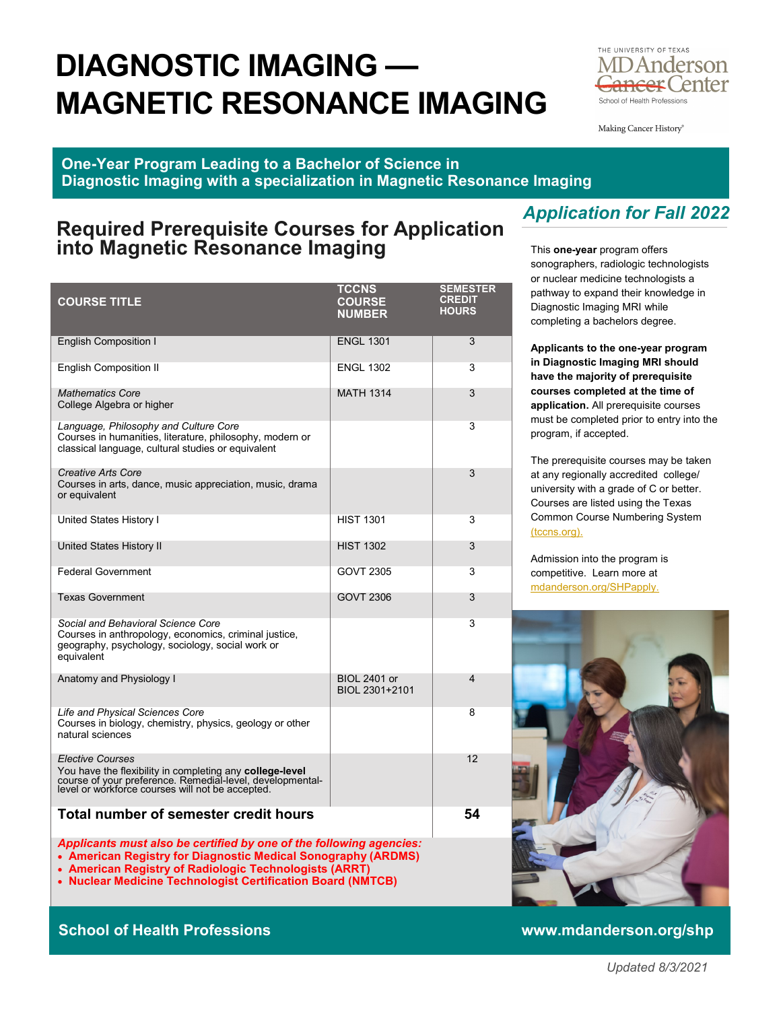# **DIAGNOSTIC IMAGING — MAGNETIC RESONANCE IMAGING**



Making Cancer History<sup>®</sup>

#### **One-Year Program Leading to a Bachelor of Science in Diagnostic Imaging with a specialization in Magnetic Resonance Imaging**

### **Required Prerequisite Courses for Application into Magnetic Resonance Imaging**

| <b>COURSE TITLE</b>                                                                                                                                                                                  | <b>TCCNS</b><br><b>COURSE</b><br><b>NUMBER</b> | <b>SEMESTER</b><br><b>CREDIT</b><br><b>HOURS</b> |
|------------------------------------------------------------------------------------------------------------------------------------------------------------------------------------------------------|------------------------------------------------|--------------------------------------------------|
| <b>English Composition I</b>                                                                                                                                                                         | <b>ENGL 1301</b>                               | 3                                                |
| <b>English Composition II</b>                                                                                                                                                                        | <b>ENGL 1302</b>                               | 3                                                |
| <b>Mathematics Core</b><br>College Algebra or higher                                                                                                                                                 | <b>MATH 1314</b>                               | 3                                                |
| Language, Philosophy and Culture Core<br>Courses in humanities, literature, philosophy, modern or<br>classical language, cultural studies or equivalent                                              |                                                | 3                                                |
| Creative Arts Core<br>Courses in arts, dance, music appreciation, music, drama<br>or equivalent                                                                                                      |                                                | 3                                                |
| United States History I                                                                                                                                                                              | <b>HIST 1301</b>                               | 3                                                |
| United States History II                                                                                                                                                                             | <b>HIST 1302</b>                               | 3                                                |
| <b>Federal Government</b>                                                                                                                                                                            | GOVT 2305                                      | 3                                                |
| <b>Texas Government</b>                                                                                                                                                                              | GOVT 2306                                      | 3                                                |
| Social and Behavioral Science Core<br>Courses in anthropology, economics, criminal justice,<br>geography, psychology, sociology, social work or<br>equivalent                                        |                                                | 3                                                |
| Anatomy and Physiology I                                                                                                                                                                             | <b>BIOL 2401 or</b><br>BIOL 2301+2101          | $\overline{\mathbf{4}}$                          |
| Life and Physical Sciences Core<br>Courses in biology, chemistry, physics, geology or other<br>natural sciences                                                                                      |                                                | 8                                                |
| <b>Elective Courses</b><br>You have the flexibility in completing any college-level<br>course of your preference. Remedial-level, developmental-<br>level or workforce courses will not be accepted. |                                                | 12                                               |
| Total number of semester credit hours                                                                                                                                                                |                                                | 54                                               |

*Applicants must also be certified by one of the following agencies:*

- **American Registry for Diagnostic Medical Sonography (ARDMS)**
- **American Registry of Radiologic Technologists (ARRT)**
- **Nuclear Medicine Technologist Certification Board (NMTCB)**

#### **School of Health Professions www.mdanderson.org/shp**

# *Application for Fall 2022*

This **one-year** program offers sonographers, radiologic technologists or nuclear medicine technologists a pathway to expand their knowledge in Diagnostic Imaging MRI while completing a bachelors degree.

**Applicants to the one-year program in Diagnostic Imaging MRI should have the majority of prerequisite courses completed at the time of application.** All prerequisite courses must be completed prior to entry into the program, if accepted.

The prerequisite courses may be taken at any regionally accredited college/ university with a grade of C or better. Courses are listed using the Texas Common Course Numbering System [\(tccns.org\).](https://tccns.org/)

Admission into the program is competitive. Learn more at [mdanderson.org/SHPapply.](https://www.mdanderson.org/education-training/degrees-programs/school-of-health-professions/prospective-students/undergrad-application.html)

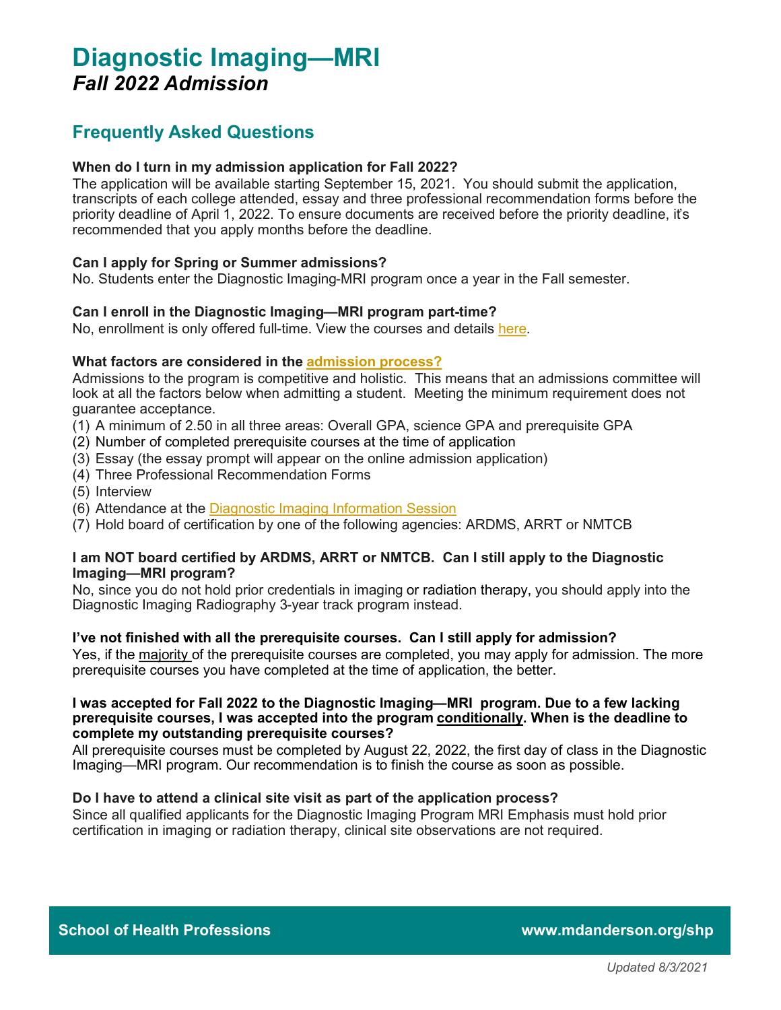# **Diagnostic Imaging—MRI** *Fall 2022 Admission*

### **Frequently Asked Questions**

#### **When do I turn in my admission application for Fall 2022?**

The application will be available starting September 15, 2021. You should submit the application, transcripts of each college attended, essay and three professional recommendation forms before the priority deadline of April 1, 2022. To ensure documents are received before the priority deadline, it's recommended that you apply months before the deadline.

#### **Can I apply for Spring or Summer admissions?**

No. Students enter the Diagnostic Imaging-MRI program once a year in the Fall semester.

#### **Can I enroll in the Diagnostic Imaging—MRI program part-time?**

No, enrollment is only offered full-time. View the courses and details [here.](https://www.mdanderson.org/education-training/degrees-programs/school-of-health-professions/academics/diagnostic-imaging/mri-emphasis.html.html#curriculum)

#### **What factors are considered in the [admission process?](https://www.mdanderson.org/education-training/degrees-programs/school-of-health-professions/prospective-students/undergrad-application.html)**

Admissions to the program is competitive and holistic. This means that an admissions committee will look at all the factors below when admitting a student. Meeting the minimum requirement does not guarantee acceptance.

- (1) A minimum of 2.50 in all three areas: Overall GPA, science GPA and prerequisite GPA
- (2) Number of completed prerequisite courses at the time of application
- (3) Essay (the essay prompt will appear on the online admission application)
- (4) Three Professional Recommendation Forms
- (5) Interview
- (6) Attendance at the [Diagnostic Imaging Information Session](https://www.mdanderson.org/education-training/degrees-programs/school-of-health-professions/prospective-students/program-sessions.html)
- (7) Hold board of certification by one of the following agencies: ARDMS, ARRT or NMTCB

#### **I am NOT board certified by ARDMS, ARRT or NMTCB. Can I still apply to the Diagnostic Imaging—MRI program?**

No, since you do not hold prior credentials in imaging or radiation therapy, you should apply into the Diagnostic Imaging Radiography 3-year track program instead.

#### **I've not finished with all the prerequisite courses. Can I still apply for admission?**

Yes, if the majority of the prerequisite courses are completed, you may apply for admission. The more prerequisite courses you have completed at the time of application, the better.

#### **I was accepted for Fall 2022 to the Diagnostic Imaging—MRI program. Due to a few lacking prerequisite courses, I was accepted into the program conditionally. When is the deadline to complete my outstanding prerequisite courses?**

All prerequisite courses must be completed by August 22, 2022, the first day of class in the Diagnostic Imaging—MRI program. Our recommendation is to finish the course as soon as possible.

#### **Do I have to attend a clinical site visit as part of the application process?**

Since all qualified applicants for the Diagnostic Imaging Program MRI Emphasis must hold prior certification in imaging or radiation therapy, clinical site observations are not required.